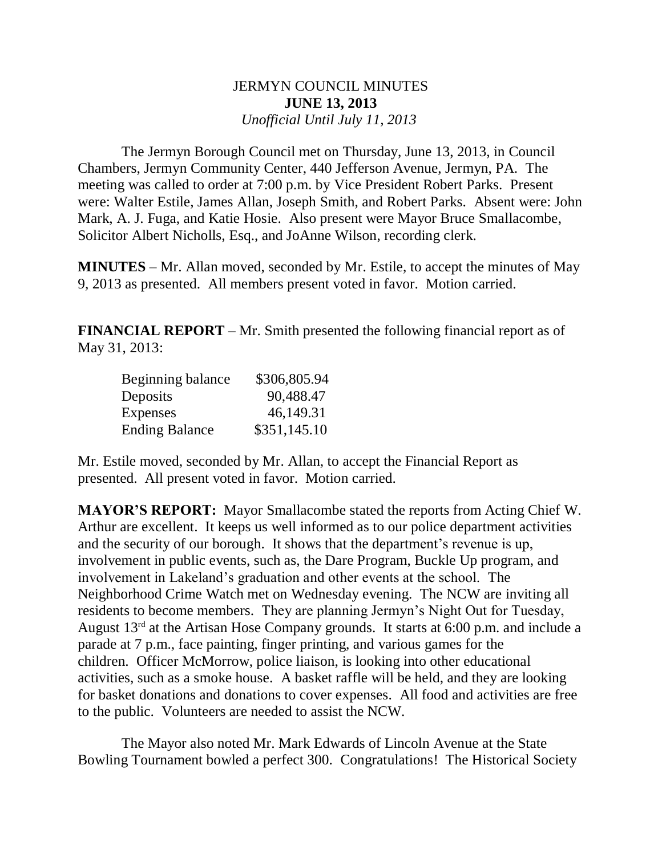## JERMYN COUNCIL MINUTES **JUNE 13, 2013** *Unofficial Until July 11, 2013*

 The Jermyn Borough Council met on Thursday, June 13, 2013, in Council Chambers, Jermyn Community Center, 440 Jefferson Avenue, Jermyn, PA. The meeting was called to order at 7:00 p.m. by Vice President Robert Parks. Present were: Walter Estile, James Allan, Joseph Smith, and Robert Parks. Absent were: John Mark, A. J. Fuga, and Katie Hosie. Also present were Mayor Bruce Smallacombe, Solicitor Albert Nicholls, Esq., and JoAnne Wilson, recording clerk.

**MINUTES** – Mr. Allan moved, seconded by Mr. Estile, to accept the minutes of May 9, 2013 as presented. All members present voted in favor. Motion carried.

**FINANCIAL REPORT** – Mr. Smith presented the following financial report as of May 31, 2013:

| Beginning balance     | \$306,805.94 |
|-----------------------|--------------|
| Deposits              | 90,488.47    |
| <b>Expenses</b>       | 46,149.31    |
| <b>Ending Balance</b> | \$351,145.10 |

Mr. Estile moved, seconded by Mr. Allan, to accept the Financial Report as presented. All present voted in favor. Motion carried.

**MAYOR'S REPORT:** Mayor Smallacombe stated the reports from Acting Chief W. Arthur are excellent. It keeps us well informed as to our police department activities and the security of our borough. It shows that the department's revenue is up, involvement in public events, such as, the Dare Program, Buckle Up program, and involvement in Lakeland's graduation and other events at the school. The Neighborhood Crime Watch met on Wednesday evening. The NCW are inviting all residents to become members. They are planning Jermyn's Night Out for Tuesday, August 13rd at the Artisan Hose Company grounds. It starts at 6:00 p.m. and include a parade at 7 p.m., face painting, finger printing, and various games for the children. Officer McMorrow, police liaison, is looking into other educational activities, such as a smoke house. A basket raffle will be held, and they are looking for basket donations and donations to cover expenses. All food and activities are free to the public. Volunteers are needed to assist the NCW.

 The Mayor also noted Mr. Mark Edwards of Lincoln Avenue at the State Bowling Tournament bowled a perfect 300. Congratulations! The Historical Society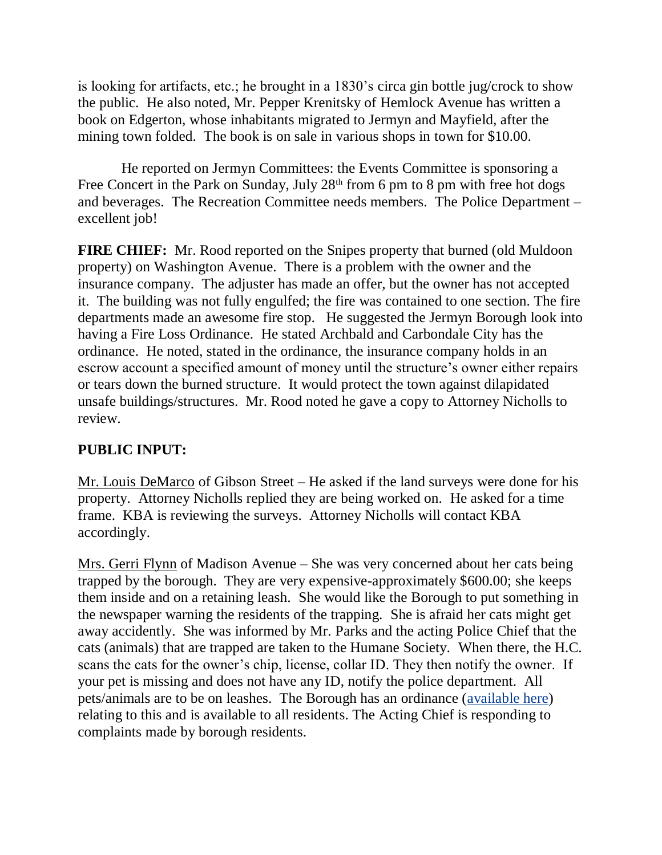is looking for artifacts, etc.; he brought in a 1830's circa gin bottle jug/crock to show the public. He also noted, Mr. Pepper Krenitsky of Hemlock Avenue has written a book on Edgerton, whose inhabitants migrated to Jermyn and Mayfield, after the mining town folded. The book is on sale in various shops in town for \$10.00.

 He reported on Jermyn Committees: the Events Committee is sponsoring a Free Concert in the Park on Sunday, July  $28<sup>th</sup>$  from 6 pm to 8 pm with free hot dogs and beverages. The Recreation Committee needs members. The Police Department – excellent job!

**FIRE CHIEF:** Mr. Rood reported on the Snipes property that burned (old Muldoon property) on Washington Avenue. There is a problem with the owner and the insurance company. The adjuster has made an offer, but the owner has not accepted it. The building was not fully engulfed; the fire was contained to one section. The fire departments made an awesome fire stop. He suggested the Jermyn Borough look into having a Fire Loss Ordinance. He stated Archbald and Carbondale City has the ordinance. He noted, stated in the ordinance, the insurance company holds in an escrow account a specified amount of money until the structure's owner either repairs or tears down the burned structure. It would protect the town against dilapidated unsafe buildings/structures. Mr. Rood noted he gave a copy to Attorney Nicholls to review.

## **PUBLIC INPUT:**

Mr. Louis DeMarco of Gibson Street – He asked if the land surveys were done for his property. Attorney Nicholls replied they are being worked on. He asked for a time frame. KBA is reviewing the surveys. Attorney Nicholls will contact KBA accordingly.

Mrs. Gerri Flynn of Madison Avenue – She was very concerned about her cats being trapped by the borough. They are very expensive-approximately \$600.00; she keeps them inside and on a retaining leash. She would like the Borough to put something in the newspaper warning the residents of the trapping. She is afraid her cats might get away accidently. She was informed by Mr. Parks and the acting Police Chief that the cats (animals) that are trapped are taken to the Humane Society. When there, the H.C. scans the cats for the owner's chip, license, collar ID. They then notify the owner. If your pet is missing and does not have any ID, notify the police department. All pets/animals are to be on leashes. The Borough has an ordinance [\(available here\)](https://jermynpa.com/ordinances/animal-control) relating to this and is available to all residents. The Acting Chief is responding to complaints made by borough residents.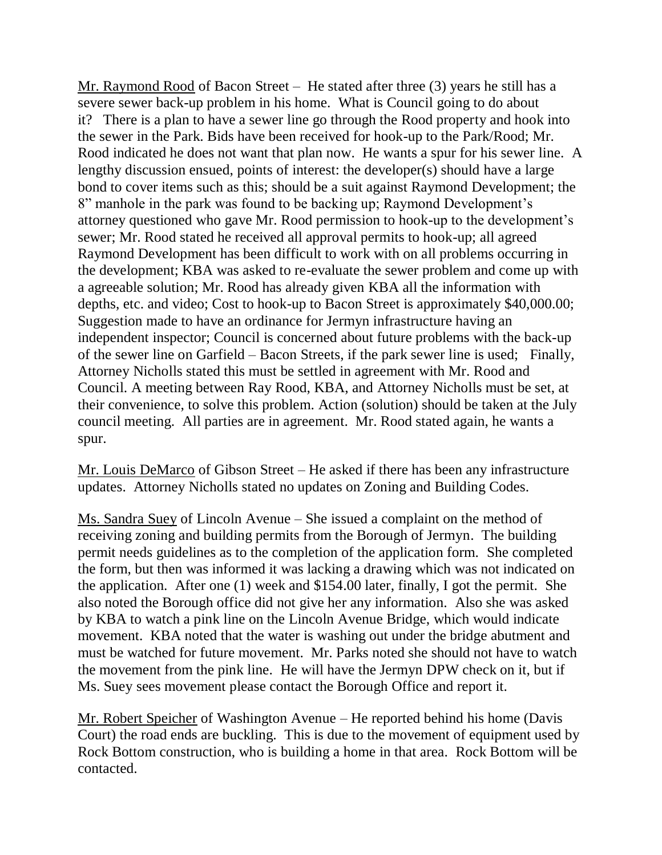Mr. Raymond Rood of Bacon Street – He stated after three (3) years he still has a severe sewer back-up problem in his home. What is Council going to do about it? There is a plan to have a sewer line go through the Rood property and hook into the sewer in the Park. Bids have been received for hook-up to the Park/Rood; Mr. Rood indicated he does not want that plan now. He wants a spur for his sewer line. A lengthy discussion ensued, points of interest: the developer(s) should have a large bond to cover items such as this; should be a suit against Raymond Development; the 8" manhole in the park was found to be backing up; Raymond Development's attorney questioned who gave Mr. Rood permission to hook-up to the development's sewer; Mr. Rood stated he received all approval permits to hook-up; all agreed Raymond Development has been difficult to work with on all problems occurring in the development; KBA was asked to re-evaluate the sewer problem and come up with a agreeable solution; Mr. Rood has already given KBA all the information with depths, etc. and video; Cost to hook-up to Bacon Street is approximately \$40,000.00; Suggestion made to have an ordinance for Jermyn infrastructure having an independent inspector; Council is concerned about future problems with the back-up of the sewer line on Garfield – Bacon Streets, if the park sewer line is used; Finally, Attorney Nicholls stated this must be settled in agreement with Mr. Rood and Council. A meeting between Ray Rood, KBA, and Attorney Nicholls must be set, at their convenience, to solve this problem. Action (solution) should be taken at the July council meeting. All parties are in agreement. Mr. Rood stated again, he wants a spur.

Mr. Louis DeMarco of Gibson Street – He asked if there has been any infrastructure updates. Attorney Nicholls stated no updates on Zoning and Building Codes.

Ms. Sandra Suey of Lincoln Avenue – She issued a complaint on the method of receiving zoning and building permits from the Borough of Jermyn. The building permit needs guidelines as to the completion of the application form. She completed the form, but then was informed it was lacking a drawing which was not indicated on the application. After one (1) week and \$154.00 later, finally, I got the permit. She also noted the Borough office did not give her any information. Also she was asked by KBA to watch a pink line on the Lincoln Avenue Bridge, which would indicate movement. KBA noted that the water is washing out under the bridge abutment and must be watched for future movement. Mr. Parks noted she should not have to watch the movement from the pink line. He will have the Jermyn DPW check on it, but if Ms. Suey sees movement please contact the Borough Office and report it.

Mr. Robert Speicher of Washington Avenue – He reported behind his home (Davis Court) the road ends are buckling. This is due to the movement of equipment used by Rock Bottom construction, who is building a home in that area. Rock Bottom will be contacted.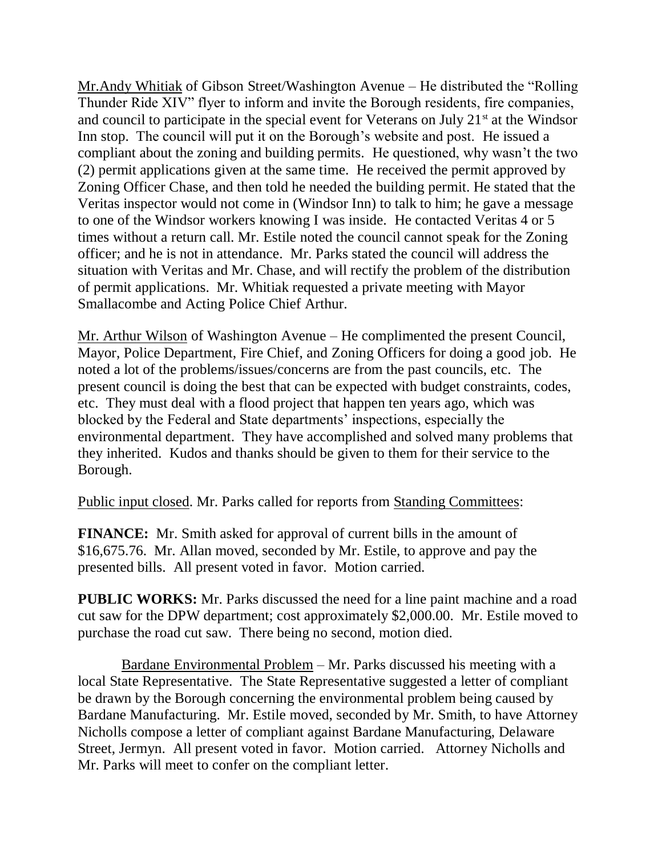Mr.Andy Whitiak of Gibson Street/Washington Avenue – He distributed the "Rolling Thunder Ride XIV" flyer to inform and invite the Borough residents, fire companies, and council to participate in the special event for Veterans on July  $21<sup>st</sup>$  at the Windsor Inn stop. The council will put it on the Borough's website and post. He issued a compliant about the zoning and building permits. He questioned, why wasn't the two (2) permit applications given at the same time. He received the permit approved by Zoning Officer Chase, and then told he needed the building permit. He stated that the Veritas inspector would not come in (Windsor Inn) to talk to him; he gave a message to one of the Windsor workers knowing I was inside. He contacted Veritas 4 or 5 times without a return call. Mr. Estile noted the council cannot speak for the Zoning officer; and he is not in attendance. Mr. Parks stated the council will address the situation with Veritas and Mr. Chase, and will rectify the problem of the distribution of permit applications. Mr. Whitiak requested a private meeting with Mayor Smallacombe and Acting Police Chief Arthur.

Mr. Arthur Wilson of Washington Avenue – He complimented the present Council, Mayor, Police Department, Fire Chief, and Zoning Officers for doing a good job. He noted a lot of the problems/issues/concerns are from the past councils, etc. The present council is doing the best that can be expected with budget constraints, codes, etc. They must deal with a flood project that happen ten years ago, which was blocked by the Federal and State departments' inspections, especially the environmental department. They have accomplished and solved many problems that they inherited. Kudos and thanks should be given to them for their service to the Borough.

Public input closed. Mr. Parks called for reports from Standing Committees:

**FINANCE:** Mr. Smith asked for approval of current bills in the amount of \$16,675.76. Mr. Allan moved, seconded by Mr. Estile, to approve and pay the presented bills. All present voted in favor. Motion carried.

**PUBLIC WORKS:** Mr. Parks discussed the need for a line paint machine and a road cut saw for the DPW department; cost approximately \$2,000.00. Mr. Estile moved to purchase the road cut saw. There being no second, motion died.

 Bardane Environmental Problem – Mr. Parks discussed his meeting with a local State Representative. The State Representative suggested a letter of compliant be drawn by the Borough concerning the environmental problem being caused by Bardane Manufacturing. Mr. Estile moved, seconded by Mr. Smith, to have Attorney Nicholls compose a letter of compliant against Bardane Manufacturing, Delaware Street, Jermyn. All present voted in favor. Motion carried. Attorney Nicholls and Mr. Parks will meet to confer on the compliant letter.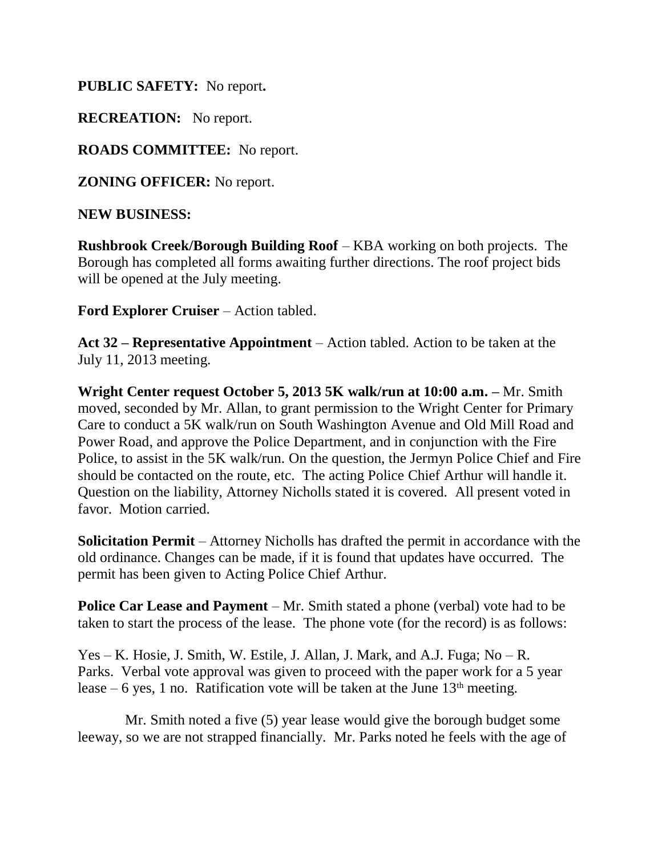**PUBLIC SAFETY:** No report**.**

**RECREATION:** No report.

**ROADS COMMITTEE:** No report.

**ZONING OFFICER:** No report.

**NEW BUSINESS:**

**Rushbrook Creek/Borough Building Roof** – KBA working on both projects. The Borough has completed all forms awaiting further directions. The roof project bids will be opened at the July meeting.

**Ford Explorer Cruiser** – Action tabled.

**Act 32 – Representative Appointment** – Action tabled. Action to be taken at the July 11, 2013 meeting.

**Wright Center request October 5, 2013 5K walk/run at 10:00 a.m. –** Mr. Smith moved, seconded by Mr. Allan, to grant permission to the Wright Center for Primary Care to conduct a 5K walk/run on South Washington Avenue and Old Mill Road and Power Road, and approve the Police Department, and in conjunction with the Fire Police, to assist in the 5K walk/run. On the question, the Jermyn Police Chief and Fire should be contacted on the route, etc. The acting Police Chief Arthur will handle it. Question on the liability, Attorney Nicholls stated it is covered. All present voted in favor. Motion carried.

**Solicitation Permit** – Attorney Nicholls has drafted the permit in accordance with the old ordinance. Changes can be made, if it is found that updates have occurred. The permit has been given to Acting Police Chief Arthur.

**Police Car Lease and Payment** – Mr. Smith stated a phone (verbal) vote had to be taken to start the process of the lease. The phone vote (for the record) is as follows:

Yes – K. Hosie, J. Smith, W. Estile, J. Allan, J. Mark, and A.J. Fuga; No – R. Parks. Verbal vote approval was given to proceed with the paper work for a 5 year lease – 6 yes, 1 no. Ratification vote will be taken at the June  $13<sup>th</sup>$  meeting.

 Mr. Smith noted a five (5) year lease would give the borough budget some leeway, so we are not strapped financially. Mr. Parks noted he feels with the age of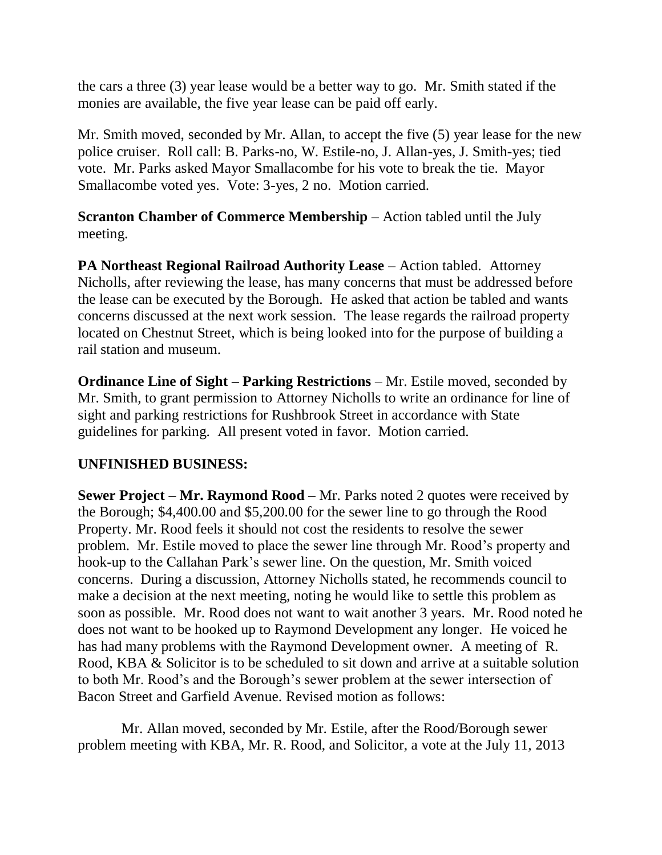the cars a three (3) year lease would be a better way to go. Mr. Smith stated if the monies are available, the five year lease can be paid off early.

Mr. Smith moved, seconded by Mr. Allan, to accept the five (5) year lease for the new police cruiser. Roll call: B. Parks-no, W. Estile-no, J. Allan-yes, J. Smith-yes; tied vote. Mr. Parks asked Mayor Smallacombe for his vote to break the tie. Mayor Smallacombe voted yes. Vote: 3-yes, 2 no. Motion carried.

**Scranton Chamber of Commerce Membership** – Action tabled until the July meeting.

**PA Northeast Regional Railroad Authority Lease** – Action tabled. Attorney Nicholls, after reviewing the lease, has many concerns that must be addressed before the lease can be executed by the Borough. He asked that action be tabled and wants concerns discussed at the next work session. The lease regards the railroad property located on Chestnut Street, which is being looked into for the purpose of building a rail station and museum.

**Ordinance Line of Sight – Parking Restrictions** – Mr. Estile moved, seconded by Mr. Smith, to grant permission to Attorney Nicholls to write an ordinance for line of sight and parking restrictions for Rushbrook Street in accordance with State guidelines for parking. All present voted in favor. Motion carried.

## **UNFINISHED BUSINESS:**

**Sewer Project – Mr. Raymond Rood –** Mr. Parks noted 2 quotes were received by the Borough; \$4,400.00 and \$5,200.00 for the sewer line to go through the Rood Property. Mr. Rood feels it should not cost the residents to resolve the sewer problem. Mr. Estile moved to place the sewer line through Mr. Rood's property and hook-up to the Callahan Park's sewer line. On the question, Mr. Smith voiced concerns. During a discussion, Attorney Nicholls stated, he recommends council to make a decision at the next meeting, noting he would like to settle this problem as soon as possible. Mr. Rood does not want to wait another 3 years. Mr. Rood noted he does not want to be hooked up to Raymond Development any longer. He voiced he has had many problems with the Raymond Development owner. A meeting of R. Rood, KBA & Solicitor is to be scheduled to sit down and arrive at a suitable solution to both Mr. Rood's and the Borough's sewer problem at the sewer intersection of Bacon Street and Garfield Avenue. Revised motion as follows:

 Mr. Allan moved, seconded by Mr. Estile, after the Rood/Borough sewer problem meeting with KBA, Mr. R. Rood, and Solicitor, a vote at the July 11, 2013